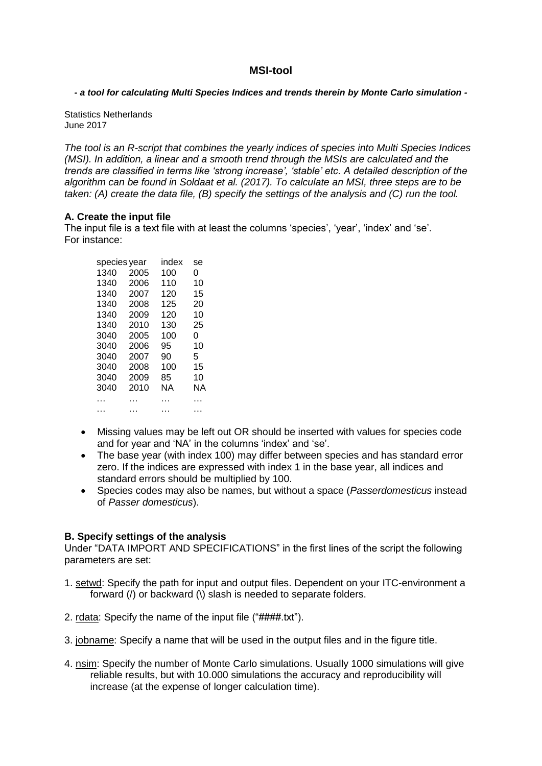# **MSI-tool**

*- a tool for calculating Multi Species Indices and trends therein by Monte Carlo simulation -*

Statistics Netherlands June 2017

*The tool is an R-script that combines the yearly indices of species into Multi Species Indices (MSI). In addition, a linear and a smooth trend through the MSIs are calculated and the trends are classified in terms like 'strong increase', 'stable' etc. A detailed description of the algorithm can be found in Soldaat et al. (2017). To calculate an MSI, three steps are to be taken: (A) create the data file, (B) specify the settings of the analysis and (C) run the tool.*

## **A. Create the input file**

The input file is a text file with at least the columns 'species', 'year', 'index' and 'se'. For instance:

| species year |      | index | se |
|--------------|------|-------|----|
| 1340         | 2005 | 100   | 0  |
| 1340         | 2006 | 110   | 10 |
| 1340         | 2007 | 120   | 15 |
| 1340         | 2008 | 125   | 20 |
| 1340         | 2009 | 120   | 10 |
| 1340         | 2010 | 130   | 25 |
| 3040         | 2005 | 100   | 0  |
| 3040         | 2006 | 95    | 10 |
| 3040         | 2007 | 90    | 5  |
| 3040         | 2008 | 100   | 15 |
| 3040         | 2009 | 85    | 10 |
| 3040         | 2010 | ΝA    | ΝA |
| .            | .    | .     | .  |
|              |      |       |    |
|              |      |       |    |

- Missing values may be left out OR should be inserted with values for species code and for year and 'NA' in the columns 'index' and 'se'.
- The base year (with index 100) may differ between species and has standard error zero. If the indices are expressed with index 1 in the base year, all indices and standard errors should be multiplied by 100.
- Species codes may also be names, but without a space (*Passerdomesticus* instead of *Passer domesticus*).

## **B. Specify settings of the analysis**

Under "DATA IMPORT AND SPECIFICATIONS" in the first lines of the script the following parameters are set:

- 1. setwd: Specify the path for input and output files. Dependent on your ITC-environment a forward (/) or backward (\) slash is needed to separate folders.
- 2. rdata: Specify the name of the input file ("####.txt").
- 3. jobname: Specify a name that will be used in the output files and in the figure title.
- 4. nsim: Specify the number of Monte Carlo simulations. Usually 1000 simulations will give reliable results, but with 10.000 simulations the accuracy and reproducibility will increase (at the expense of longer calculation time).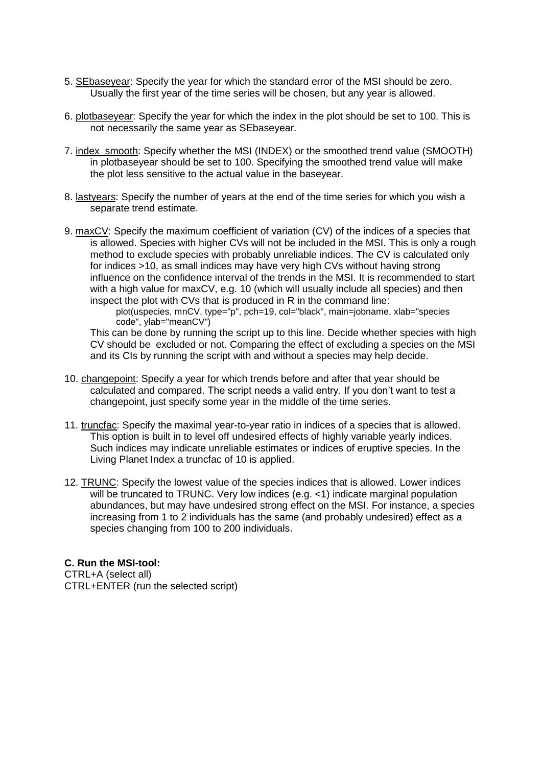- 5. SEbaseyear: Specify the year for which the standard error of the MSI should be zero. Usually the first year of the time series will be chosen, but any year is allowed.
- 6. plotbaseyear: Specify the year for which the index in the plot should be set to 100. This is not necessarily the same year as SEbaseyear.
- 7. index smooth: Specify whether the MSI (INDEX) or the smoothed trend value (SMOOTH) in plotbaseyear should be set to 100. Specifying the smoothed trend value will make the plot less sensitive to the actual value in the baseyear.
- 8. lastyears: Specify the number of years at the end of the time series for which you wish a separate trend estimate.
- 9. maxCV: Specify the maximum coefficient of variation (CV) of the indices of a species that is allowed. Species with higher CVs will not be included in the MSI. This is only a rough method to exclude species with probably unreliable indices. The CV is calculated only for indices >10, as small indices may have very high CVs without having strong influence on the confidence interval of the trends in the MSI. It is recommended to start with a high value for maxCV, e.g. 10 (which will usually include all species) and then inspect the plot with CVs that is produced in R in the command line:

plot(uspecies, mnCV, type="p", pch=19, col="black", main=jobname, xlab="species code", ylab="meanCV")

This can be done by running the script up to this line. Decide whether species with high CV should be excluded or not. Comparing the effect of excluding a species on the MSI and its CIs by running the script with and without a species may help decide.

- 10. changepoint: Specify a year for which trends before and after that year should be calculated and compared. The script needs a valid entry. If you don't want to test a changepoint, just specify some year in the middle of the time series.
- 11. truncfac: Specify the maximal year-to-year ratio in indices of a species that is allowed. This option is built in to level off undesired effects of highly variable yearly indices. Such indices may indicate unreliable estimates or indices of eruptive species. In the Living Planet Index a truncfac of 10 is applied.
- 12. TRUNC: Specify the lowest value of the species indices that is allowed. Lower indices will be truncated to TRUNC. Very low indices (e.g. <1) indicate marginal population abundances, but may have undesired strong effect on the MSI. For instance, a species increasing from 1 to 2 individuals has the same (and probably undesired) effect as a species changing from 100 to 200 individuals.

## **C. Run the MSI-tool:**

CTRL+A (select all) CTRL+ENTER (run the selected script)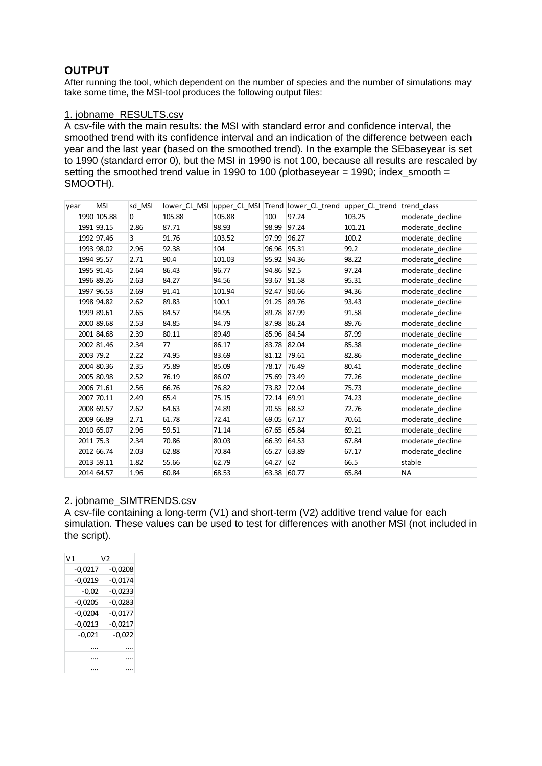# **OUTPUT**

After running the tool, which dependent on the number of species and the number of simulations may take some time, the MSI-tool produces the following output files:

## 1. jobname\_RESULTS.csv

A csv-file with the main results: the MSI with standard error and confidence interval, the smoothed trend with its confidence interval and an indication of the difference between each year and the last year (based on the smoothed trend). In the example the SEbaseyear is set to 1990 (standard error 0), but the MSI in 1990 is not 100, because all results are rescaled by setting the smoothed trend value in 1990 to 100 (plotbaseyear = 1990; index\_smooth = SMOOTH).

| year      | <b>MSI</b>  | sd MSI      |        |        |             |       | lower_CL_MSI upper_CL_MSI  Trend  lower_CL_trend  upper_CL_trend  trend_class |                  |
|-----------|-------------|-------------|--------|--------|-------------|-------|-------------------------------------------------------------------------------|------------------|
|           | 1990 105.88 | $\mathbf 0$ | 105.88 | 105.88 | 100         | 97.24 | 103.25                                                                        | moderate decline |
|           | 1991 93.15  | 2.86        | 87.71  | 98.93  | 98.99       | 97.24 | 101.21                                                                        | moderate_decline |
|           | 1992 97.46  | 3           | 91.76  | 103.52 | 97.99 96.27 |       | 100.2                                                                         | moderate decline |
|           | 1993 98.02  | 2.96        | 92.38  | 104    | 96.96       | 95.31 | 99.2                                                                          | moderate_decline |
|           | 1994 95.57  | 2.71        | 90.4   | 101.03 | 95.92 94.36 |       | 98.22                                                                         | moderate decline |
|           | 1995 91.45  | 2.64        | 86.43  | 96.77  | 94.86       | 92.5  | 97.24                                                                         | moderate decline |
|           | 1996 89.26  | 2.63        | 84.27  | 94.56  | 93.67       | 91.58 | 95.31                                                                         | moderate_decline |
|           | 1997 96.53  | 2.69        | 91.41  | 101.94 | 92.47       | 90.66 | 94.36                                                                         | moderate decline |
|           | 1998 94.82  | 2.62        | 89.83  | 100.1  | 91.25       | 89.76 | 93.43                                                                         | moderate decline |
|           | 1999 89.61  | 2.65        | 84.57  | 94.95  | 89.78       | 87.99 | 91.58                                                                         | moderate decline |
|           | 2000 89.68  | 2.53        | 84.85  | 94.79  | 87.98 86.24 |       | 89.76                                                                         | moderate_decline |
|           | 2001 84.68  | 2.39        | 80.11  | 89.49  | 85.96       | 84.54 | 87.99                                                                         | moderate_decline |
|           | 2002 81.46  | 2.34        | 77     | 86.17  | 83.78 82.04 |       | 85.38                                                                         | moderate decline |
|           | 2003 79.2   | 2.22        | 74.95  | 83.69  | 81.12       | 79.61 | 82.86                                                                         | moderate_decline |
|           | 2004 80.36  | 2.35        | 75.89  | 85.09  | 78.17       | 76.49 | 80.41                                                                         | moderate_decline |
|           | 2005 80.98  | 2.52        | 76.19  | 86.07  | 75.69       | 73.49 | 77.26                                                                         | moderate decline |
|           | 2006 71.61  | 2.56        | 66.76  | 76.82  | 73.82       | 72.04 | 75.73                                                                         | moderate decline |
|           | 2007 70.11  | 2.49        | 65.4   | 75.15  | 72.14 69.91 |       | 74.23                                                                         | moderate decline |
|           | 2008 69.57  | 2.62        | 64.63  | 74.89  | 70.55       | 68.52 | 72.76                                                                         | moderate_decline |
|           | 2009 66.89  | 2.71        | 61.78  | 72.41  | 69.05       | 67.17 | 70.61                                                                         | moderate_decline |
|           | 2010 65.07  | 2.96        | 59.51  | 71.14  | 67.65 65.84 |       | 69.21                                                                         | moderate decline |
| 2011 75.3 |             | 2.34        | 70.86  | 80.03  | 66.39       | 64.53 | 67.84                                                                         | moderate decline |
|           | 2012 66.74  | 2.03        | 62.88  | 70.84  | 65.27       | 63.89 | 67.17                                                                         | moderate decline |
|           | 2013 59.11  | 1.82        | 55.66  | 62.79  | 64.27 62    |       | 66.5                                                                          | stable           |
|           | 2014 64.57  | 1.96        | 60.84  | 68.53  | 63.38       | 60.77 | 65.84                                                                         | NA               |
|           |             |             |        |        |             |       |                                                                               |                  |

#### 2. jobname\_SIMTRENDS.csv

A csv-file containing a long-term (V1) and short-term (V2) additive trend value for each simulation. These values can be used to test for differences with another MSI (not included in the script).

| V1        | V2        |
|-----------|-----------|
| -0.0217   | $-0.0208$ |
| $-0.0219$ | $-0.0174$ |
| $-0.02$   | $-0.0233$ |
| $-0,0205$ | $-0.0283$ |
| $-0,0204$ | $-0.0177$ |
| $-0,0213$ | $-0,0217$ |
| $-0,021$  | $-0,022$  |
|           |           |
|           |           |
|           |           |